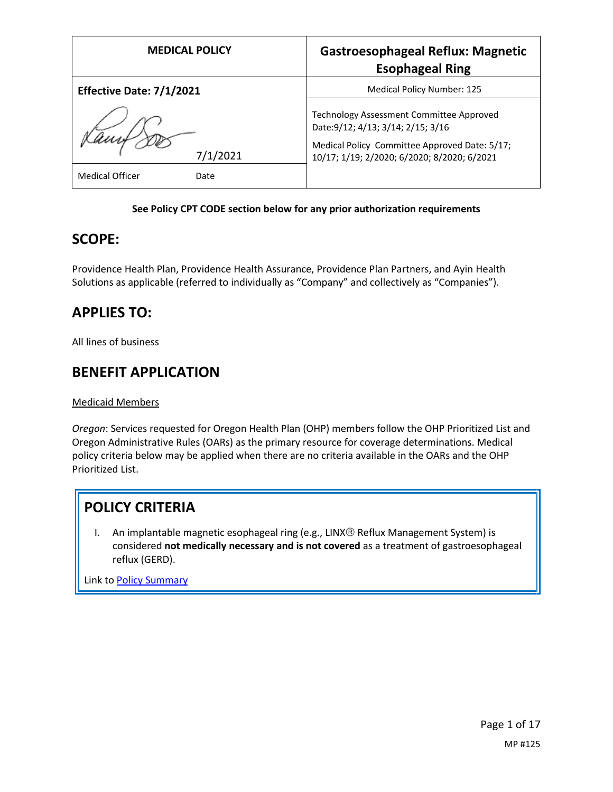| <b>MEDICAL POLICY</b>          | <b>Gastroesophageal Reflux: Magnetic</b><br><b>Esophageal Ring</b>                                                                                                             |
|--------------------------------|--------------------------------------------------------------------------------------------------------------------------------------------------------------------------------|
| Effective Date: 7/1/2021       | Medical Policy Number: 125                                                                                                                                                     |
| 7/1/2021                       | Technology Assessment Committee Approved<br>Date: 9/12; 4/13; 3/14; 2/15; 3/16<br>Medical Policy Committee Approved Date: 5/17;<br>10/17; 1/19; 2/2020; 6/2020; 8/2020; 6/2021 |
| <b>Medical Officer</b><br>Date |                                                                                                                                                                                |

## **See Policy CPT CODE section below for any prior authorization requirements**

## **SCOPE:**

Providence Health Plan, Providence Health Assurance, Providence Plan Partners, and Ayin Health Solutions as applicable (referred to individually as "Company" and collectively as "Companies").

# **APPLIES TO:**

All lines of business

# **BENEFIT APPLICATION**

Medicaid Members

*Oregon*: Services requested for Oregon Health Plan (OHP) members follow the OHP Prioritized List and Oregon Administrative Rules (OARs) as the primary resource for coverage determinations. Medical policy criteria below may be applied when there are no criteria available in the OARs and the OHP Prioritized List.

# **POLICY CRITERIA**

I. An implantable magnetic esophageal ring (e.g., LINX® Reflux Management System) is considered **not medically necessary and is not covered** as a treatment of gastroesophageal reflux (GERD).

Link t[o Policy Summary](#page-12-0)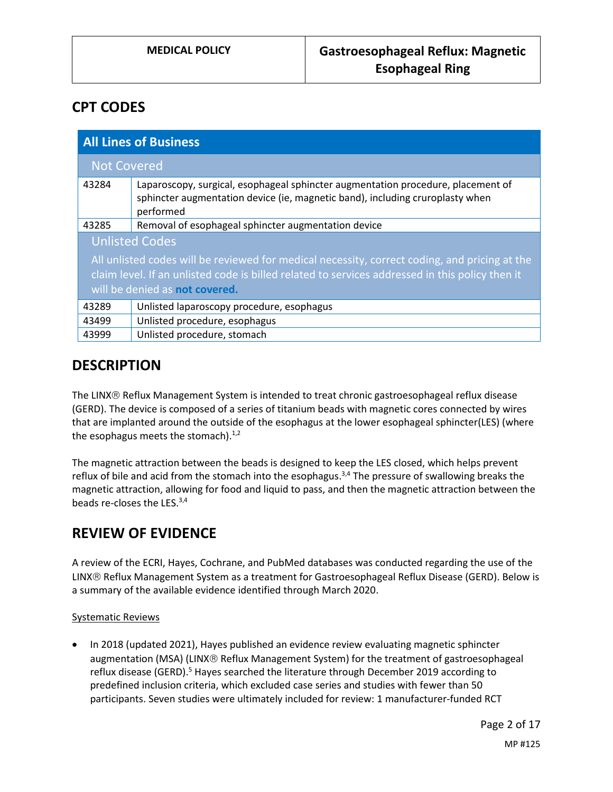# **CPT CODES**

| <b>All Lines of Business</b>                                                                    |                                                                                                                                                                                |
|-------------------------------------------------------------------------------------------------|--------------------------------------------------------------------------------------------------------------------------------------------------------------------------------|
| <b>Not Covered</b>                                                                              |                                                                                                                                                                                |
| 43284                                                                                           | Laparoscopy, surgical, esophageal sphincter augmentation procedure, placement of<br>sphincter augmentation device (ie, magnetic band), including cruroplasty when<br>performed |
| 43285                                                                                           | Removal of esophageal sphincter augmentation device                                                                                                                            |
| <b>Unlisted Codes</b>                                                                           |                                                                                                                                                                                |
| All unlisted codes will be reviewed for medical necessity, correct coding, and pricing at the   |                                                                                                                                                                                |
| claim level. If an unlisted code is billed related to services addressed in this policy then it |                                                                                                                                                                                |
| will be denied as not covered.                                                                  |                                                                                                                                                                                |
| 43289                                                                                           | Unlisted laparoscopy procedure, esophagus                                                                                                                                      |
| 43499                                                                                           | Unlisted procedure, esophagus                                                                                                                                                  |
| 43999                                                                                           | Unlisted procedure, stomach                                                                                                                                                    |

## **DESCRIPTION**

The LINX® Reflux Management System is intended to treat chronic gastroesophageal reflux disease (GERD). The device is composed of a series of titanium beads with magnetic cores connected by wires that are implanted around the outside of the esophagus at the lower esophageal sphincter(LES) (where the esophagus meets the stomach). $1/2$ 

The magnetic attraction between the beads is designed to keep the LES closed, which helps prevent reflux of bile and acid from the stomach into the esophagus.<sup>3,4</sup> The pressure of swallowing breaks the magnetic attraction, allowing for food and liquid to pass, and then the magnetic attraction between the beads re-closes the LES.<sup>3,4</sup>

# **REVIEW OF EVIDENCE**

A review of the ECRI, Hayes, Cochrane, and PubMed databases was conducted regarding the use of the LINX<sup>®</sup> Reflux Management System as a treatment for Gastroesophageal Reflux Disease (GERD). Below is a summary of the available evidence identified through March 2020.

## Systematic Reviews

 In 2018 (updated 2021), Hayes published an evidence review evaluating magnetic sphincter augmentation (MSA) (LINX® Reflux Management System) for the treatment of gastroesophageal reflux disease (GERD).<sup>5</sup> Hayes searched the literature through December 2019 according to predefined inclusion criteria, which excluded case series and studies with fewer than 50 participants. Seven studies were ultimately included for review: 1 manufacturer-funded RCT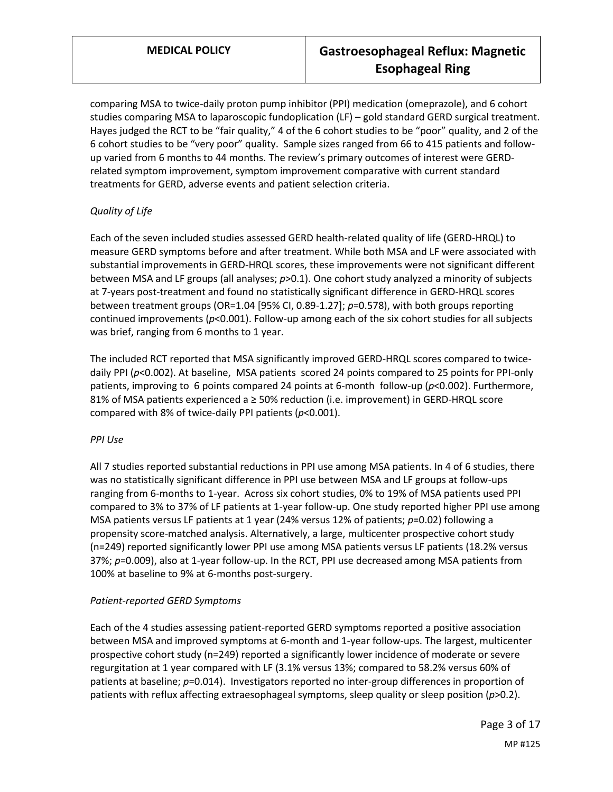comparing MSA to twice-daily proton pump inhibitor (PPI) medication (omeprazole), and 6 cohort studies comparing MSA to laparoscopic fundoplication (LF) – gold standard GERD surgical treatment. Hayes judged the RCT to be "fair quality," 4 of the 6 cohort studies to be "poor" quality, and 2 of the 6 cohort studies to be "very poor" quality. Sample sizes ranged from 66 to 415 patients and followup varied from 6 months to 44 months. The review's primary outcomes of interest were GERDrelated symptom improvement, symptom improvement comparative with current standard treatments for GERD, adverse events and patient selection criteria.

## *Quality of Life*

Each of the seven included studies assessed GERD health-related quality of life (GERD-HRQL) to measure GERD symptoms before and after treatment. While both MSA and LF were associated with substantial improvements in GERD-HRQL scores, these improvements were not significant different between MSA and LF groups (all analyses; *p*>0.1). One cohort study analyzed a minority of subjects at 7-years post-treatment and found no statistically significant difference in GERD-HRQL scores between treatment groups (OR=1.04 [95% CI, 0.89-1.27]; *p*=0.578), with both groups reporting continued improvements (*p*<0.001). Follow-up among each of the six cohort studies for all subjects was brief, ranging from 6 months to 1 year.

The included RCT reported that MSA significantly improved GERD-HRQL scores compared to twicedaily PPI ( $p$ <0.002). At baseline, MSA patients scored 24 points compared to 25 points for PPI-only patients, improving to 6 points compared 24 points at 6-month follow-up (*p*<0.002). Furthermore, 81% of MSA patients experienced a ≥ 50% reduction (i.e. improvement) in GERD-HRQL score compared with 8% of twice-daily PPI patients (*p*<0.001).

## *PPI Use*

All 7 studies reported substantial reductions in PPI use among MSA patients. In 4 of 6 studies, there was no statistically significant difference in PPI use between MSA and LF groups at follow-ups ranging from 6-months to 1-year. Across six cohort studies, 0% to 19% of MSA patients used PPI compared to 3% to 37% of LF patients at 1-year follow-up. One study reported higher PPI use among MSA patients versus LF patients at 1 year (24% versus 12% of patients; p=0.02) following a propensity score-matched analysis. Alternatively, a large, multicenter prospective cohort study (n=249) reported significantly lower PPI use among MSA patients versus LF patients (18.2% versus 37%; *p*=0.009), also at 1-year follow-up. In the RCT, PPI use decreased among MSA patients from 100% at baseline to 9% at 6-months post-surgery.

## *Patient-reported GERD Symptoms*

Each of the 4 studies assessing patient-reported GERD symptoms reported a positive association between MSA and improved symptoms at 6-month and 1-year follow-ups. The largest, multicenter prospective cohort study (n=249) reported a significantly lower incidence of moderate or severe regurgitation at 1 year compared with LF (3.1% versus 13%; compared to 58.2% versus 60% of patients at baseline; *p*=0.014). Investigators reported no inter-group differences in proportion of patients with reflux affecting extraesophageal symptoms, sleep quality or sleep position (*p*>0.2).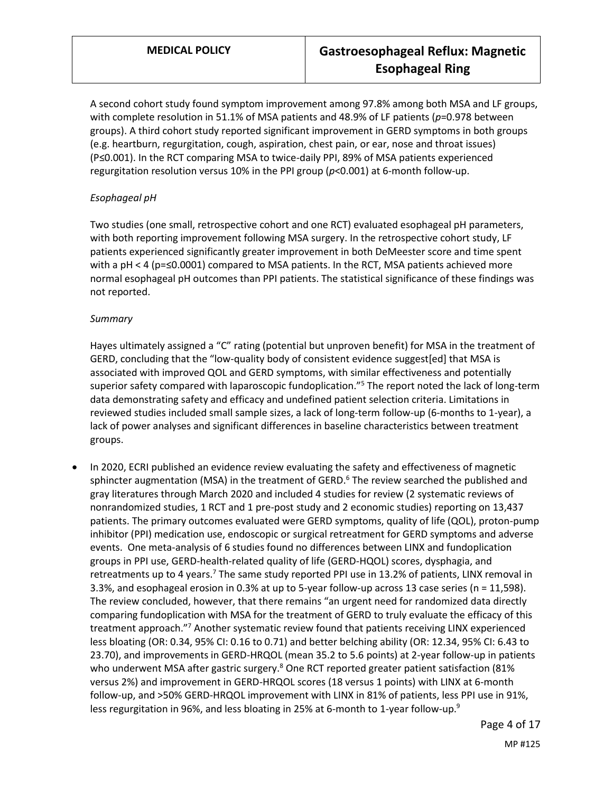A second cohort study found symptom improvement among 97.8% among both MSA and LF groups, with complete resolution in 51.1% of MSA patients and 48.9% of LF patients (*p*=0.978 between groups). A third cohort study reported significant improvement in GERD symptoms in both groups (e.g. heartburn, regurgitation, cough, aspiration, chest pain, or ear, nose and throat issues) (P≤0.001). In the RCT comparing MSA to twice-daily PPI, 89% of MSA patients experienced regurgitation resolution versus 10% in the PPI group (*p*<0.001) at 6-month follow-up.

### *Esophageal pH*

Two studies (one small, retrospective cohort and one RCT) evaluated esophageal pH parameters, with both reporting improvement following MSA surgery. In the retrospective cohort study, LF patients experienced significantly greater improvement in both DeMeester score and time spent with a pH < 4 (p=≤0.0001) compared to MSA patients. In the RCT, MSA patients achieved more normal esophageal pH outcomes than PPI patients. The statistical significance of these findings was not reported.

#### *Summary*

Hayes ultimately assigned a "C" rating (potential but unproven benefit) for MSA in the treatment of GERD, concluding that the "low-quality body of consistent evidence suggest[ed] that MSA is associated with improved QOL and GERD symptoms, with similar effectiveness and potentially superior safety compared with laparoscopic fundoplication."<sup>5</sup> The report noted the lack of long-term data demonstrating safety and efficacy and undefined patient selection criteria. Limitations in reviewed studies included small sample sizes, a lack of long-term follow-up (6-months to 1-year), a lack of power analyses and significant differences in baseline characteristics between treatment groups.

 In 2020, ECRI published an evidence review evaluating the safety and effectiveness of magnetic sphincter augmentation (MSA) in the treatment of GERD. $6$  The review searched the published and gray literatures through March 2020 and included 4 studies for review (2 systematic reviews of nonrandomized studies, 1 RCT and 1 pre-post study and 2 economic studies) reporting on 13,437 patients. The primary outcomes evaluated were GERD symptoms, quality of life (QOL), proton-pump inhibitor (PPI) medication use, endoscopic or surgical retreatment for GERD symptoms and adverse events. One meta-analysis of 6 studies found no differences between LINX and fundoplication groups in PPI use, GERD-health-related quality of life (GERD-HQOL) scores, dysphagia, and retreatments up to 4 years.<sup>7</sup> The same study reported PPI use in 13.2% of patients, LINX removal in 3.3%, and esophageal erosion in 0.3% at up to 5-year follow-up across 13 case series (n = 11,598). The review concluded, however, that there remains "an urgent need for randomized data directly comparing fundoplication with MSA for the treatment of GERD to truly evaluate the efficacy of this treatment approach."<sup>7</sup> Another systematic review found that patients receiving LINX experienced less bloating (OR: 0.34, 95% CI: 0.16 to 0.71) and better belching ability (OR: 12.34, 95% CI: 6.43 to 23.70), and improvements in GERD-HRQOL (mean 35.2 to 5.6 points) at 2-year follow-up in patients who underwent MSA after gastric surgery.<sup>8</sup> One RCT reported greater patient satisfaction (81% versus 2%) and improvement in GERD-HRQOL scores (18 versus 1 points) with LINX at 6-month follow-up, and >50% GERD-HRQOL improvement with LINX in 81% of patients, less PPI use in 91%, less regurgitation in 96%, and less bloating in 25% at 6-month to 1-year follow-up.<sup>9</sup>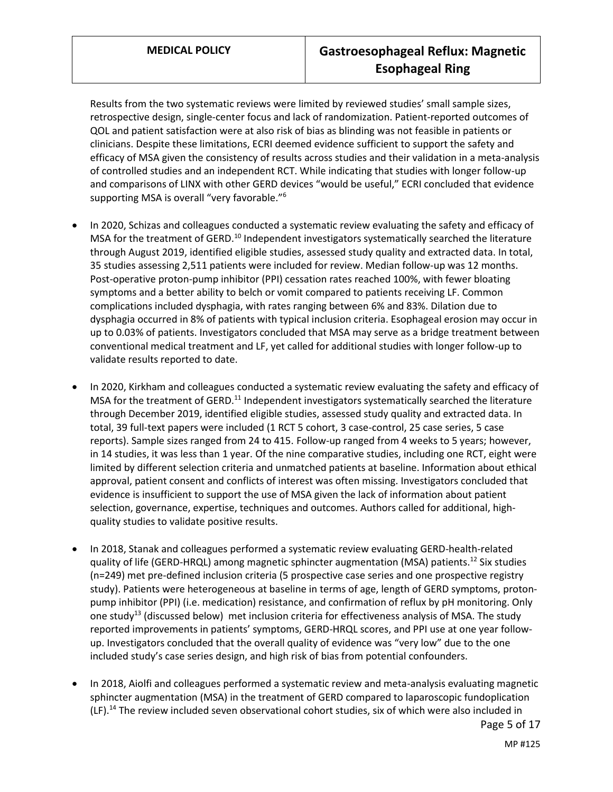Results from the two systematic reviews were limited by reviewed studies' small sample sizes, retrospective design, single-center focus and lack of randomization. Patient-reported outcomes of QOL and patient satisfaction were at also risk of bias as blinding was not feasible in patients or clinicians. Despite these limitations, ECRI deemed evidence sufficient to support the safety and efficacy of MSA given the consistency of results across studies and their validation in a meta-analysis of controlled studies and an independent RCT. While indicating that studies with longer follow-up and comparisons of LINX with other GERD devices "would be useful," ECRI concluded that evidence supporting MSA is overall "very favorable."<sup>6</sup>

- In 2020, Schizas and colleagues conducted a systematic review evaluating the safety and efficacy of MSA for the treatment of GERD.<sup>10</sup> Independent investigators systematically searched the literature through August 2019, identified eligible studies, assessed study quality and extracted data. In total, 35 studies assessing 2,511 patients were included for review. Median follow-up was 12 months. Post-operative proton-pump inhibitor (PPI) cessation rates reached 100%, with fewer bloating symptoms and a better ability to belch or vomit compared to patients receiving LF. Common complications included dysphagia, with rates ranging between 6% and 83%. Dilation due to dysphagia occurred in 8% of patients with typical inclusion criteria. Esophageal erosion may occur in up to 0.03% of patients. Investigators concluded that MSA may serve as a bridge treatment between conventional medical treatment and LF, yet called for additional studies with longer follow-up to validate results reported to date.
- In 2020, Kirkham and colleagues conducted a systematic review evaluating the safety and efficacy of MSA for the treatment of GERD.<sup>11</sup> Independent investigators systematically searched the literature through December 2019, identified eligible studies, assessed study quality and extracted data. In total, 39 full-text papers were included (1 RCT 5 cohort, 3 case-control, 25 case series, 5 case reports). Sample sizes ranged from 24 to 415. Follow-up ranged from 4 weeks to 5 years; however, in 14 studies, it was less than 1 year. Of the nine comparative studies, including one RCT, eight were limited by different selection criteria and unmatched patients at baseline. Information about ethical approval, patient consent and conflicts of interest was often missing. Investigators concluded that evidence is insufficient to support the use of MSA given the lack of information about patient selection, governance, expertise, techniques and outcomes. Authors called for additional, highquality studies to validate positive results.
- In 2018, Stanak and colleagues performed a systematic review evaluating GERD-health-related quality of life (GERD-HRQL) among magnetic sphincter augmentation (MSA) patients.<sup>12</sup> Six studies (n=249) met pre-defined inclusion criteria (5 prospective case series and one prospective registry study). Patients were heterogeneous at baseline in terms of age, length of GERD symptoms, protonpump inhibitor (PPI) (i.e. medication) resistance, and confirmation of reflux by pH monitoring. Only one study<sup>13</sup> (discussed below) met inclusion criteria for effectiveness analysis of MSA. The study reported improvements in patients' symptoms, GERD-HRQL scores, and PPI use at one year followup. Investigators concluded that the overall quality of evidence was "very low" due to the one included study's case series design, and high risk of bias from potential confounders.
- In 2018, Aiolfi and colleagues performed a systematic review and meta-analysis evaluating magnetic sphincter augmentation (MSA) in the treatment of GERD compared to laparoscopic fundoplication (LF).<sup>14</sup> The review included seven observational cohort studies, six of which were also included in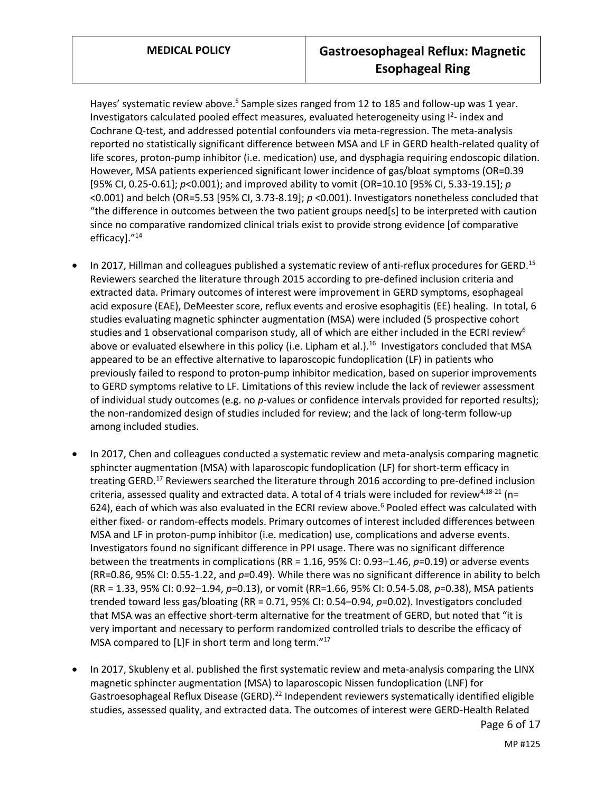Hayes' systematic review above.<sup>5</sup> Sample sizes ranged from 12 to 185 and follow-up was 1 year. Investigators calculated pooled effect measures, evaluated heterogeneity using I<sup>2</sup>- index and Cochrane Q-test, and addressed potential confounders via meta-regression. The meta-analysis reported no statistically significant difference between MSA and LF in GERD health-related quality of life scores, proton-pump inhibitor (i.e. medication) use, and dysphagia requiring endoscopic dilation. However, MSA patients experienced significant lower incidence of gas/bloat symptoms (OR=0.39 [95% CI, 0.25-0.61]; *p*<0.001); and improved ability to vomit (OR=10.10 [95% CI, 5.33-19.15]; *p* <0.001) and belch (OR=5.53 [95% CI, 3.73-8.19]; *p* <0.001). Investigators nonetheless concluded that "the difference in outcomes between the two patient groups need[s] to be interpreted with caution since no comparative randomized clinical trials exist to provide strong evidence [of comparative efficacy]."<sup>14</sup>

- In 2017, Hillman and colleagues published a systematic review of anti-reflux procedures for GERD.<sup>15</sup> Reviewers searched the literature through 2015 according to pre-defined inclusion criteria and extracted data. Primary outcomes of interest were improvement in GERD symptoms, esophageal acid exposure (EAE), DeMeester score, reflux events and erosive esophagitis (EE) healing. In total, 6 studies evaluating magnetic sphincter augmentation (MSA) were included (5 prospective cohort studies and 1 observational comparison study, all of which are either included in the ECRI review<sup>6</sup> above or evaluated elsewhere in this policy (i.e. Lipham et al.).<sup>16</sup> Investigators concluded that MSA appeared to be an effective alternative to laparoscopic fundoplication (LF) in patients who previously failed to respond to proton-pump inhibitor medication, based on superior improvements to GERD symptoms relative to LF. Limitations of this review include the lack of reviewer assessment of individual study outcomes (e.g. no *p*-values or confidence intervals provided for reported results); the non-randomized design of studies included for review; and the lack of long-term follow-up among included studies.
- In 2017, Chen and colleagues conducted a systematic review and meta-analysis comparing magnetic sphincter augmentation (MSA) with laparoscopic fundoplication (LF) for short-term efficacy in treating GERD.<sup>17</sup> Reviewers searched the literature through 2016 according to pre-defined inclusion criteria, assessed quality and extracted data. A total of 4 trials were included for review<sup>4,18-21</sup> (n= 624), each of which was also evaluated in the ECRI review above.<sup>6</sup> Pooled effect was calculated with either fixed- or random-effects models. Primary outcomes of interest included differences between MSA and LF in proton-pump inhibitor (i.e. medication) use, complications and adverse events. Investigators found no significant difference in PPI usage. There was no significant difference between the treatments in complications (RR = 1.16, 95% CI: 0.93–1.46, *p*=0.19) or adverse events (RR=0.86, 95% CI: 0.55-1.22, and *p=*0.49). While there was no significant difference in ability to belch (RR = 1.33, 95% CI: 0.92–1.94, *p*=0.13), or vomit (RR=1.66, 95% CI: 0.54-5.08, *p*=0.38), MSA patients trended toward less gas/bloating (RR = 0.71, 95% CI: 0.54–0.94, *p*=0.02). Investigators concluded that MSA was an effective short-term alternative for the treatment of GERD, but noted that "it is very important and necessary to perform randomized controlled trials to describe the efficacy of MSA compared to [L]F in short term and long term."<sup>17</sup>
- In 2017, Skubleny et al. published the first systematic review and meta-analysis comparing the LINX magnetic sphincter augmentation (MSA) to laparoscopic Nissen fundoplication (LNF) for Gastroesophageal Reflux Disease (GERD).<sup>22</sup> Independent reviewers systematically identified eligible studies, assessed quality, and extracted data. The outcomes of interest were GERD-Health Related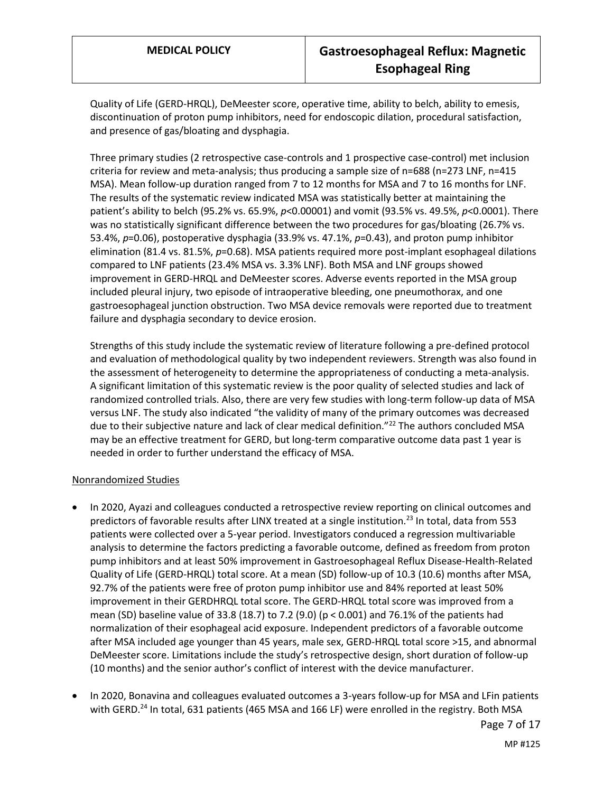Quality of Life (GERD-HRQL), DeMeester score, operative time, ability to belch, ability to emesis, discontinuation of proton pump inhibitors, need for endoscopic dilation, procedural satisfaction, and presence of gas/bloating and dysphagia.

Three primary studies (2 retrospective case-controls and 1 prospective case-control) met inclusion criteria for review and meta-analysis; thus producing a sample size of n=688 (n=273 LNF, n=415 MSA). Mean follow-up duration ranged from 7 to 12 months for MSA and 7 to 16 months for LNF. The results of the systematic review indicated MSA was statistically better at maintaining the patient's ability to belch (95.2% vs. 65.9%, *p*<0.00001) and vomit (93.5% vs. 49.5%, *p*<0.0001). There was no statistically significant difference between the two procedures for gas/bloating (26.7% vs. 53.4%, *p*=0.06), postoperative dysphagia (33.9% vs. 47.1%, *p*=0.43), and proton pump inhibitor elimination (81.4 vs. 81.5%, *p*=0.68). MSA patients required more post-implant esophageal dilations compared to LNF patients (23.4% MSA vs. 3.3% LNF). Both MSA and LNF groups showed improvement in GERD-HRQL and DeMeester scores. Adverse events reported in the MSA group included pleural injury, two episode of intraoperative bleeding, one pneumothorax, and one gastroesophageal junction obstruction. Two MSA device removals were reported due to treatment failure and dysphagia secondary to device erosion.

Strengths of this study include the systematic review of literature following a pre-defined protocol and evaluation of methodological quality by two independent reviewers. Strength was also found in the assessment of heterogeneity to determine the appropriateness of conducting a meta-analysis. A significant limitation of this systematic review is the poor quality of selected studies and lack of randomized controlled trials. Also, there are very few studies with long-term follow-up data of MSA versus LNF. The study also indicated "the validity of many of the primary outcomes was decreased due to their subjective nature and lack of clear medical definition."<sup>22</sup> The authors concluded MSA may be an effective treatment for GERD, but long-term comparative outcome data past 1 year is needed in order to further understand the efficacy of MSA.

#### Nonrandomized Studies

- In 2020, Ayazi and colleagues conducted a retrospective review reporting on clinical outcomes and predictors of favorable results after LINX treated at a single institution.<sup>23</sup> In total, data from 553 patients were collected over a 5-year period. Investigators conduced a regression multivariable analysis to determine the factors predicting a favorable outcome, defined as freedom from proton pump inhibitors and at least 50% improvement in Gastroesophageal Reflux Disease-Health-Related Quality of Life (GERD-HRQL) total score. At a mean (SD) follow-up of 10.3 (10.6) months after MSA, 92.7% of the patients were free of proton pump inhibitor use and 84% reported at least 50% improvement in their GERDHRQL total score. The GERD-HRQL total score was improved from a mean (SD) baseline value of 33.8 (18.7) to 7.2 (9.0) (p < 0.001) and 76.1% of the patients had normalization of their esophageal acid exposure. Independent predictors of a favorable outcome after MSA included age younger than 45 years, male sex, GERD-HRQL total score >15, and abnormal DeMeester score. Limitations include the study's retrospective design, short duration of follow-up (10 months) and the senior author's conflict of interest with the device manufacturer.
- In 2020, Bonavina and colleagues evaluated outcomes a 3-years follow-up for MSA and LFin patients with GERD.<sup>24</sup> In total, 631 patients (465 MSA and 166 LF) were enrolled in the registry. Both MSA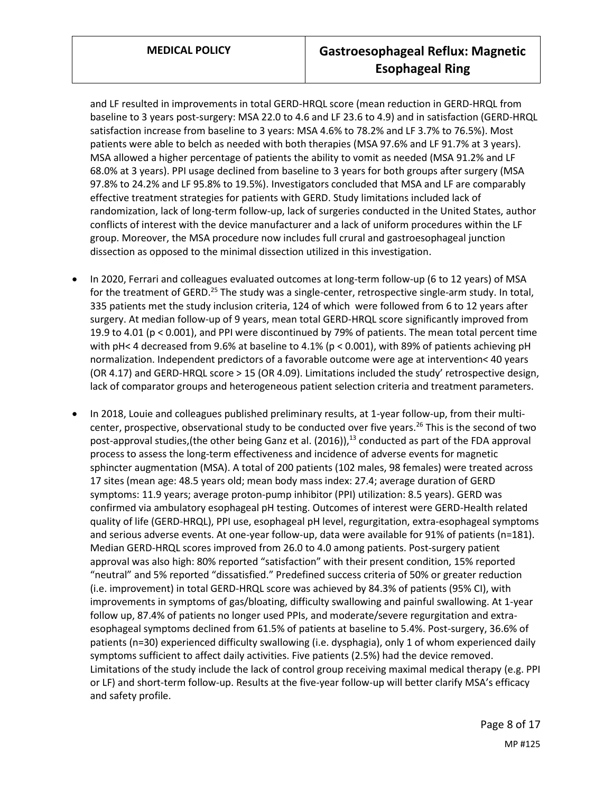and LF resulted in improvements in total GERD-HRQL score (mean reduction in GERD-HRQL from baseline to 3 years post-surgery: MSA 22.0 to 4.6 and LF 23.6 to 4.9) and in satisfaction (GERD-HRQL satisfaction increase from baseline to 3 years: MSA 4.6% to 78.2% and LF 3.7% to 76.5%). Most patients were able to belch as needed with both therapies (MSA 97.6% and LF 91.7% at 3 years). MSA allowed a higher percentage of patients the ability to vomit as needed (MSA 91.2% and LF 68.0% at 3 years). PPI usage declined from baseline to 3 years for both groups after surgery (MSA 97.8% to 24.2% and LF 95.8% to 19.5%). Investigators concluded that MSA and LF are comparably effective treatment strategies for patients with GERD. Study limitations included lack of randomization, lack of long-term follow-up, lack of surgeries conducted in the United States, author conflicts of interest with the device manufacturer and a lack of uniform procedures within the LF group. Moreover, the MSA procedure now includes full crural and gastroesophageal junction dissection as opposed to the minimal dissection utilized in this investigation.

- In 2020, Ferrari and colleagues evaluated outcomes at long-term follow-up (6 to 12 years) of MSA for the treatment of GERD.<sup>25</sup> The study was a single-center, retrospective single-arm study. In total, 335 patients met the study inclusion criteria, 124 of which were followed from 6 to 12 years after surgery. At median follow-up of 9 years, mean total GERD-HRQL score significantly improved from 19.9 to 4.01 (p < 0.001), and PPI were discontinued by 79% of patients. The mean total percent time with pH< 4 decreased from 9.6% at baseline to 4.1% (p < 0.001), with 89% of patients achieving pH normalization. Independent predictors of a favorable outcome were age at intervention< 40 years (OR 4.17) and GERD-HRQL score > 15 (OR 4.09). Limitations included the study' retrospective design, lack of comparator groups and heterogeneous patient selection criteria and treatment parameters.
- In 2018, Louie and colleagues published preliminary results, at 1-year follow-up, from their multicenter, prospective, observational study to be conducted over five years.<sup>26</sup> This is the second of two post-approval studies, (the other being Ganz et al. (2016)),  $^{13}$  conducted as part of the FDA approval process to assess the long-term effectiveness and incidence of adverse events for magnetic sphincter augmentation (MSA). A total of 200 patients (102 males, 98 females) were treated across 17 sites (mean age: 48.5 years old; mean body mass index: 27.4; average duration of GERD symptoms: 11.9 years; average proton-pump inhibitor (PPI) utilization: 8.5 years). GERD was confirmed via ambulatory esophageal pH testing. Outcomes of interest were GERD-Health related quality of life (GERD-HRQL), PPI use, esophageal pH level, regurgitation, extra-esophageal symptoms and serious adverse events. At one-year follow-up, data were available for 91% of patients (n=181). Median GERD-HRQL scores improved from 26.0 to 4.0 among patients. Post-surgery patient approval was also high: 80% reported "satisfaction" with their present condition, 15% reported "neutral" and 5% reported "dissatisfied." Predefined success criteria of 50% or greater reduction (i.e. improvement) in total GERD-HRQL score was achieved by 84.3% of patients (95% CI), with improvements in symptoms of gas/bloating, difficulty swallowing and painful swallowing. At 1-year follow up, 87.4% of patients no longer used PPIs, and moderate/severe regurgitation and extraesophageal symptoms declined from 61.5% of patients at baseline to 5.4%. Post-surgery, 36.6% of patients (n=30) experienced difficulty swallowing (i.e. dysphagia), only 1 of whom experienced daily symptoms sufficient to affect daily activities. Five patients (2.5%) had the device removed. Limitations of the study include the lack of control group receiving maximal medical therapy (e.g. PPI or LF) and short-term follow-up. Results at the five-year follow-up will better clarify MSA's efficacy and safety profile.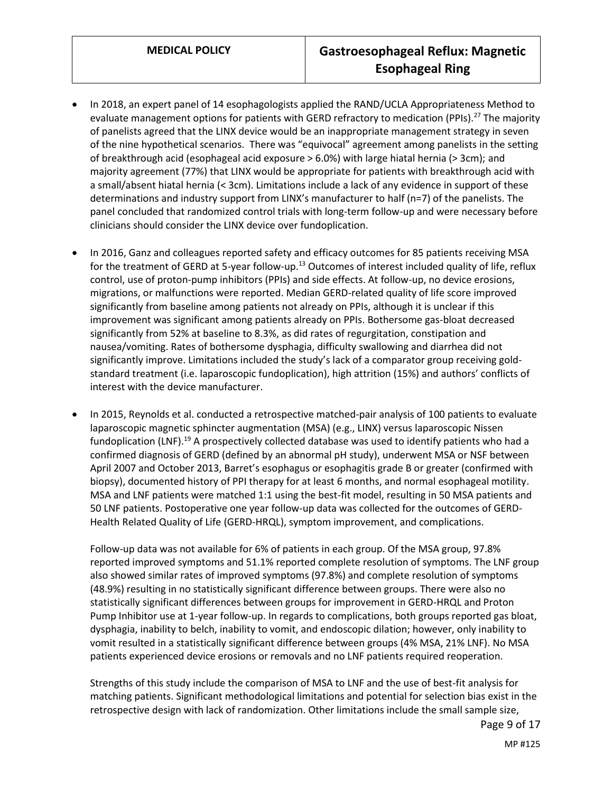- In 2018, an expert panel of 14 esophagologists applied the RAND/UCLA Appropriateness Method to evaluate management options for patients with GERD refractory to medication (PPIs).<sup>27</sup> The majority of panelists agreed that the LINX device would be an inappropriate management strategy in seven of the nine hypothetical scenarios. There was "equivocal" agreement among panelists in the setting of breakthrough acid (esophageal acid exposure > 6.0%) with large hiatal hernia (> 3cm); and majority agreement (77%) that LINX would be appropriate for patients with breakthrough acid with a small/absent hiatal hernia (< 3cm). Limitations include a lack of any evidence in support of these determinations and industry support from LINX's manufacturer to half (n=7) of the panelists. The panel concluded that randomized control trials with long-term follow-up and were necessary before clinicians should consider the LINX device over fundoplication.
- In 2016, Ganz and colleagues reported safety and efficacy outcomes for 85 patients receiving MSA for the treatment of GERD at 5-year follow-up.<sup>13</sup> Outcomes of interest included quality of life, reflux control, use of proton-pump inhibitors (PPIs) and side effects. At follow-up, no device erosions, migrations, or malfunctions were reported. Median GERD-related quality of life score improved significantly from baseline among patients not already on PPIs, although it is unclear if this improvement was significant among patients already on PPIs. Bothersome gas-bloat decreased significantly from 52% at baseline to 8.3%, as did rates of regurgitation, constipation and nausea/vomiting. Rates of bothersome dysphagia, difficulty swallowing and diarrhea did not significantly improve. Limitations included the study's lack of a comparator group receiving goldstandard treatment (i.e. laparoscopic fundoplication), high attrition (15%) and authors' conflicts of interest with the device manufacturer.
- In 2015, Reynolds et al. conducted a retrospective matched-pair analysis of 100 patients to evaluate laparoscopic magnetic sphincter augmentation (MSA) (e.g., LINX) versus laparoscopic Nissen fundoplication (LNF).<sup>19</sup> A prospectively collected database was used to identify patients who had a confirmed diagnosis of GERD (defined by an abnormal pH study), underwent MSA or NSF between April 2007 and October 2013, Barret's esophagus or esophagitis grade B or greater (confirmed with biopsy), documented history of PPI therapy for at least 6 months, and normal esophageal motility. MSA and LNF patients were matched 1:1 using the best-fit model, resulting in 50 MSA patients and 50 LNF patients. Postoperative one year follow-up data was collected for the outcomes of GERD-Health Related Quality of Life (GERD-HRQL), symptom improvement, and complications.

Follow-up data was not available for 6% of patients in each group. Of the MSA group, 97.8% reported improved symptoms and 51.1% reported complete resolution of symptoms. The LNF group also showed similar rates of improved symptoms (97.8%) and complete resolution of symptoms (48.9%) resulting in no statistically significant difference between groups. There were also no statistically significant differences between groups for improvement in GERD-HRQL and Proton Pump Inhibitor use at 1-year follow-up. In regards to complications, both groups reported gas bloat, dysphagia, inability to belch, inability to vomit, and endoscopic dilation; however, only inability to vomit resulted in a statistically significant difference between groups (4% MSA, 21% LNF). No MSA patients experienced device erosions or removals and no LNF patients required reoperation.

Strengths of this study include the comparison of MSA to LNF and the use of best-fit analysis for matching patients. Significant methodological limitations and potential for selection bias exist in the retrospective design with lack of randomization. Other limitations include the small sample size,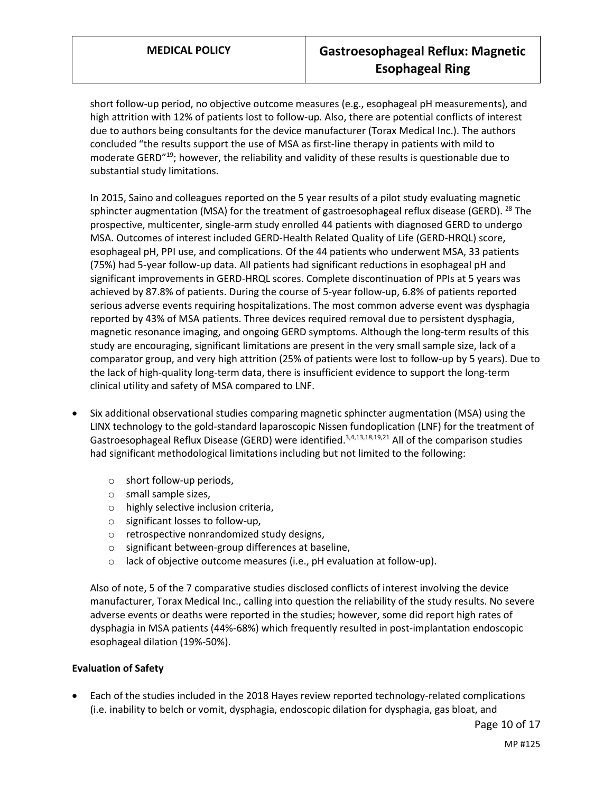short follow-up period, no objective outcome measures (e.g., esophageal pH measurements), and high attrition with 12% of patients lost to follow-up. Also, there are potential conflicts of interest due to authors being consultants for the device manufacturer (Torax Medical Inc.). The authors concluded "the results support the use of MSA as first-line therapy in patients with mild to moderate GERD"<sup>19</sup>; however, the reliability and validity of these results is questionable due to substantial study limitations.

In 2015, Saino and colleagues reported on the 5 year results of a pilot study evaluating magnetic sphincter augmentation (MSA) for the treatment of gastroesophageal reflux disease (GERD). <sup>28</sup> The prospective, multicenter, single-arm study enrolled 44 patients with diagnosed GERD to undergo MSA. Outcomes of interest included GERD-Health Related Quality of Life (GERD-HRQL) score, esophageal pH, PPI use, and complications. Of the 44 patients who underwent MSA, 33 patients (75%) had 5-year follow-up data. All patients had significant reductions in esophageal pH and significant improvements in GERD-HRQL scores. Complete discontinuation of PPIs at 5 years was achieved by 87.8% of patients. During the course of 5-year follow-up, 6.8% of patients reported serious adverse events requiring hospitalizations. The most common adverse event was dysphagia reported by 43% of MSA patients. Three devices required removal due to persistent dysphagia, magnetic resonance imaging, and ongoing GERD symptoms. Although the long-term results of this study are encouraging, significant limitations are present in the very small sample size, lack of a comparator group, and very high attrition (25% of patients were lost to follow-up by 5 years). Due to the lack of high-quality long-term data, there is insufficient evidence to support the long-term clinical utility and safety of MSA compared to LNF.

- Six additional observational studies comparing magnetic sphincter augmentation (MSA) using the LINX technology to the gold-standard laparoscopic Nissen fundoplication (LNF) for the treatment of Gastroesophageal Reflux Disease (GERD) were identified.<sup>3,4,13,18,19,21</sup> All of the comparison studies had significant methodological limitations including but not limited to the following:
	- o short follow-up periods,
	- o small sample sizes,
	- o highly selective inclusion criteria,
	- o significant losses to follow-up,
	- o retrospective nonrandomized study designs,
	- o significant between-group differences at baseline,
	- o lack of objective outcome measures (i.e., pH evaluation at follow-up).

Also of note, 5 of the 7 comparative studies disclosed conflicts of interest involving the device manufacturer, Torax Medical Inc., calling into question the reliability of the study results. No severe adverse events or deaths were reported in the studies; however, some did report high rates of dysphagia in MSA patients (44%-68%) which frequently resulted in post-implantation endoscopic esophageal dilation (19%-50%).

#### **Evaluation of Safety**

 Each of the studies included in the 2018 Hayes review reported technology-related complications (i.e. inability to belch or vomit, dysphagia, endoscopic dilation for dysphagia, gas bloat, and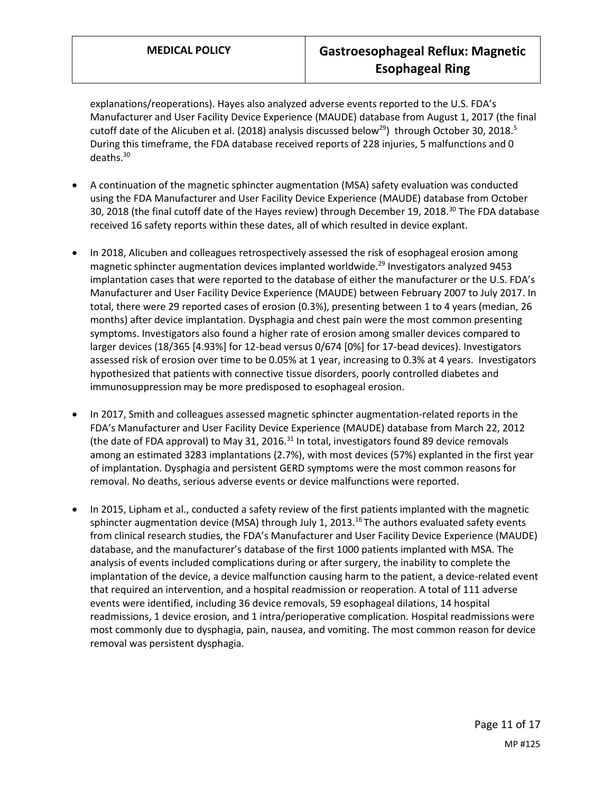explanations/reoperations). Hayes also analyzed adverse events reported to the U.S. FDA's Manufacturer and User Facility Device Experience (MAUDE) database from August 1, 2017 (the final cutoff date of the Alicuben et al. (2018) analysis discussed below<sup>29</sup>) through October 30, 2018.<sup>5</sup> During this timeframe, the FDA database received reports of 228 injuries, 5 malfunctions and 0 deaths.<sup>30</sup>

- A continuation of the magnetic sphincter augmentation (MSA) safety evaluation was conducted using the FDA Manufacturer and User Facility Device Experience (MAUDE) database from October 30, 2018 (the final cutoff date of the Hayes review) through December 19, 2018.<sup>30</sup> The FDA database received 16 safety reports within these dates, all of which resulted in device explant.
- In 2018, Alicuben and colleagues retrospectively assessed the risk of esophageal erosion among magnetic sphincter augmentation devices implanted worldwide. <sup>29</sup> Investigators analyzed 9453 implantation cases that were reported to the database of either the manufacturer or the U.S. FDA's Manufacturer and User Facility Device Experience (MAUDE) between February 2007 to July 2017. In total, there were 29 reported cases of erosion (0.3%), presenting between 1 to 4 years (median, 26 months) after device implantation. Dysphagia and chest pain were the most common presenting symptoms. Investigators also found a higher rate of erosion among smaller devices compared to larger devices (18/365 [4.93%] for 12-bead versus 0/674 [0%] for 17-bead devices). Investigators assessed risk of erosion over time to be 0.05% at 1 year, increasing to 0.3% at 4 years. Investigators hypothesized that patients with connective tissue disorders, poorly controlled diabetes and immunosuppression may be more predisposed to esophageal erosion.
- In 2017, Smith and colleagues assessed magnetic sphincter augmentation-related reports in the FDA's Manufacturer and User Facility Device Experience (MAUDE) database from March 22, 2012 (the date of FDA approval) to May 31, 2016.<sup>31</sup> In total, investigators found 89 device removals among an estimated 3283 implantations (2.7%), with most devices (57%) explanted in the first year of implantation. Dysphagia and persistent GERD symptoms were the most common reasons for removal. No deaths, serious adverse events or device malfunctions were reported.
- In 2015, Lipham et al., conducted a safety review of the first patients implanted with the magnetic sphincter augmentation device (MSA) through July 1, 2013.<sup>16</sup> The authors evaluated safety events from clinical research studies, the FDA's Manufacturer and User Facility Device Experience (MAUDE) database, and the manufacturer's database of the first 1000 patients implanted with MSA. The analysis of events included complications during or after surgery, the inability to complete the implantation of the device, a device malfunction causing harm to the patient, a device-related event that required an intervention, and a hospital readmission or reoperation. A total of 111 adverse events were identified, including 36 device removals, 59 esophageal dilations, 14 hospital readmissions, 1 device erosion, and 1 intra/perioperative complication. Hospital readmissions were most commonly due to dysphagia, pain, nausea, and vomiting. The most common reason for device removal was persistent dysphagia.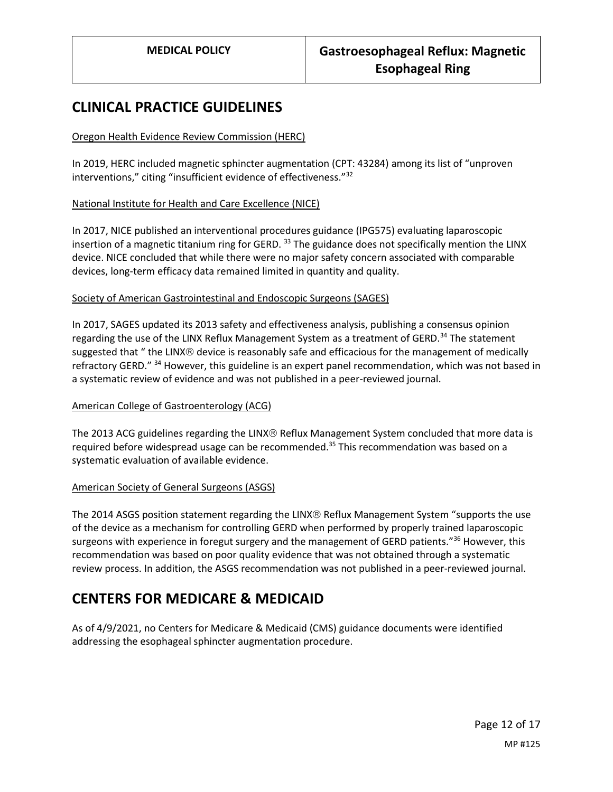## **CLINICAL PRACTICE GUIDELINES**

### Oregon Health Evidence Review Commission (HERC)

In 2019, HERC included magnetic sphincter augmentation (CPT: 43284) among its list of "unproven interventions," citing "insufficient evidence of effectiveness."<sup>32</sup>

#### National Institute for Health and Care Excellence (NICE)

In 2017, NICE published an interventional procedures guidance (IPG575) evaluating laparoscopic insertion of a magnetic titanium ring for GERD.<sup>33</sup> The guidance does not specifically mention the LINX device. NICE concluded that while there were no major safety concern associated with comparable devices, long-term efficacy data remained limited in quantity and quality.

#### Society of American Gastrointestinal and Endoscopic Surgeons (SAGES)

In 2017, SAGES updated its 2013 safety and effectiveness analysis, publishing a consensus opinion regarding the use of the LINX Reflux Management System as a treatment of GERD.<sup>34</sup> The statement suggested that " the LINX® device is reasonably safe and efficacious for the management of medically refractory GERD." <sup>34</sup> However, this guideline is an expert panel recommendation, which was not based in a systematic review of evidence and was not published in a peer-reviewed journal.

#### American College of Gastroenterology (ACG)

The 2013 ACG guidelines regarding the LINX® Reflux Management System concluded that more data is required before widespread usage can be recommended.<sup>35</sup> This recommendation was based on a systematic evaluation of available evidence.

#### American Society of General Surgeons (ASGS)

The 2014 ASGS position statement regarding the LINX® Reflux Management System "supports the use of the device as a mechanism for controlling GERD when performed by properly trained laparoscopic surgeons with experience in foregut surgery and the management of GERD patients."<sup>36</sup> However, this recommendation was based on poor quality evidence that was not obtained through a systematic review process. In addition, the ASGS recommendation was not published in a peer-reviewed journal.

# **CENTERS FOR MEDICARE & MEDICAID**

As of 4/9/2021, no Centers for Medicare & Medicaid (CMS) guidance documents were identified addressing the esophageal sphincter augmentation procedure.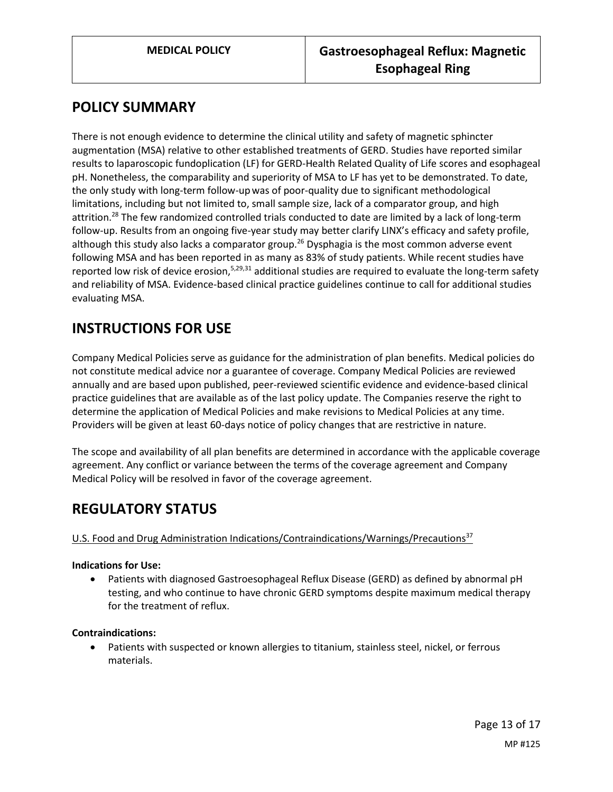## <span id="page-12-0"></span>**POLICY SUMMARY**

There is not enough evidence to determine the clinical utility and safety of magnetic sphincter augmentation (MSA) relative to other established treatments of GERD. Studies have reported similar results to laparoscopic fundoplication (LF) for GERD-Health Related Quality of Life scores and esophageal pH. Nonetheless, the comparability and superiority of MSA to LF has yet to be demonstrated. To date, the only study with long-term follow-upwas of poor-quality due to significant methodological limitations, including but not limited to, small sample size, lack of a comparator group, and high attrition.<sup>28</sup> The few randomized controlled trials conducted to date are limited by a lack of long-term follow-up. Results from an ongoing five-year study may better clarify LINX's efficacy and safety profile, although this study also lacks a comparator group.<sup>26</sup> Dysphagia is the most common adverse event following MSA and has been reported in as many as 83% of study patients. While recent studies have reported low risk of device erosion,<sup>5,29,31</sup> additional studies are required to evaluate the long-term safety and reliability of MSA. Evidence-based clinical practice guidelines continue to call for additional studies evaluating MSA.

# **INSTRUCTIONS FOR USE**

Company Medical Policies serve as guidance for the administration of plan benefits. Medical policies do not constitute medical advice nor a guarantee of coverage. Company Medical Policies are reviewed annually and are based upon published, peer-reviewed scientific evidence and evidence-based clinical practice guidelines that are available as of the last policy update. The Companies reserve the right to determine the application of Medical Policies and make revisions to Medical Policies at any time. Providers will be given at least 60-days notice of policy changes that are restrictive in nature.

The scope and availability of all plan benefits are determined in accordance with the applicable coverage agreement. Any conflict or variance between the terms of the coverage agreement and Company Medical Policy will be resolved in favor of the coverage agreement.

# **REGULATORY STATUS**

## U.S. Food and Drug Administration Indications/Contraindications/Warnings/Precautions<sup>37</sup>

#### **Indications for Use:**

 Patients with diagnosed Gastroesophageal Reflux Disease (GERD) as defined by abnormal pH testing, and who continue to have chronic GERD symptoms despite maximum medical therapy for the treatment of reflux.

#### **Contraindications:**

 Patients with suspected or known allergies to titanium, stainless steel, nickel, or ferrous materials.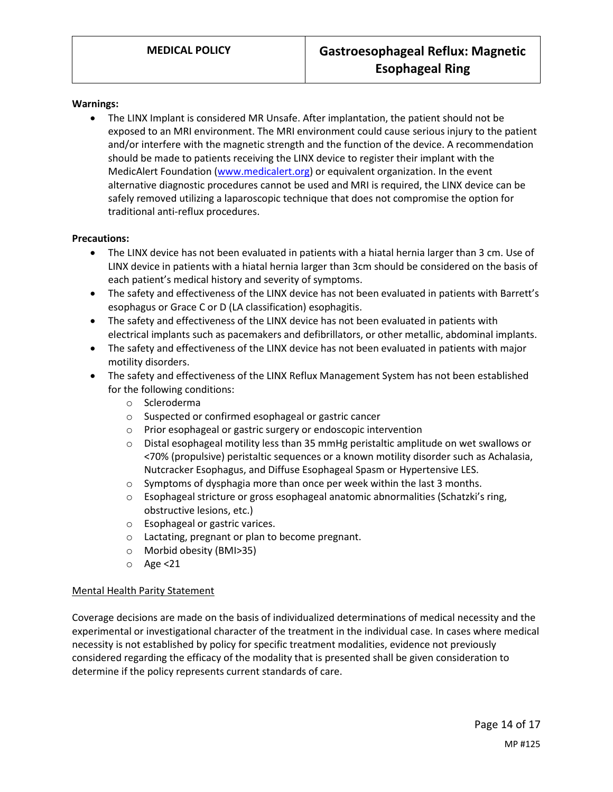#### **Warnings:**

 The LINX Implant is considered MR Unsafe. After implantation, the patient should not be exposed to an MRI environment. The MRI environment could cause serious injury to the patient and/or interfere with the magnetic strength and the function of the device. A recommendation should be made to patients receiving the LINX device to register their implant with the MedicAlert Foundation [\(www.medicalert.org\)](http://www.medicalert.org/) or equivalent organization. In the event alternative diagnostic procedures cannot be used and MRI is required, the LINX device can be safely removed utilizing a laparoscopic technique that does not compromise the option for traditional anti-reflux procedures.

#### **Precautions:**

- The LINX device has not been evaluated in patients with a hiatal hernia larger than 3 cm. Use of LINX device in patients with a hiatal hernia larger than 3cm should be considered on the basis of each patient's medical history and severity of symptoms.
- The safety and effectiveness of the LINX device has not been evaluated in patients with Barrett's esophagus or Grace C or D (LA classification) esophagitis.
- The safety and effectiveness of the LINX device has not been evaluated in patients with electrical implants such as pacemakers and defibrillators, or other metallic, abdominal implants.
- The safety and effectiveness of the LINX device has not been evaluated in patients with major motility disorders.
- The safety and effectiveness of the LINX Reflux Management System has not been established for the following conditions:
	- o Scleroderma
	- o Suspected or confirmed esophageal or gastric cancer
	- o Prior esophageal or gastric surgery or endoscopic intervention
	- o Distal esophageal motility less than 35 mmHg peristaltic amplitude on wet swallows or <70% (propulsive) peristaltic sequences or a known motility disorder such as Achalasia, Nutcracker Esophagus, and Diffuse Esophageal Spasm or Hypertensive LES.
	- o Symptoms of dysphagia more than once per week within the last 3 months.
	- o Esophageal stricture or gross esophageal anatomic abnormalities (Schatzki's ring, obstructive lesions, etc.)
	- o Esophageal or gastric varices.
	- o Lactating, pregnant or plan to become pregnant.
	- o Morbid obesity (BMI>35)
	- o Age <21

#### Mental Health Parity Statement

Coverage decisions are made on the basis of individualized determinations of medical necessity and the experimental or investigational character of the treatment in the individual case. In cases where medical necessity is not established by policy for specific treatment modalities, evidence not previously considered regarding the efficacy of the modality that is presented shall be given consideration to determine if the policy represents current standards of care.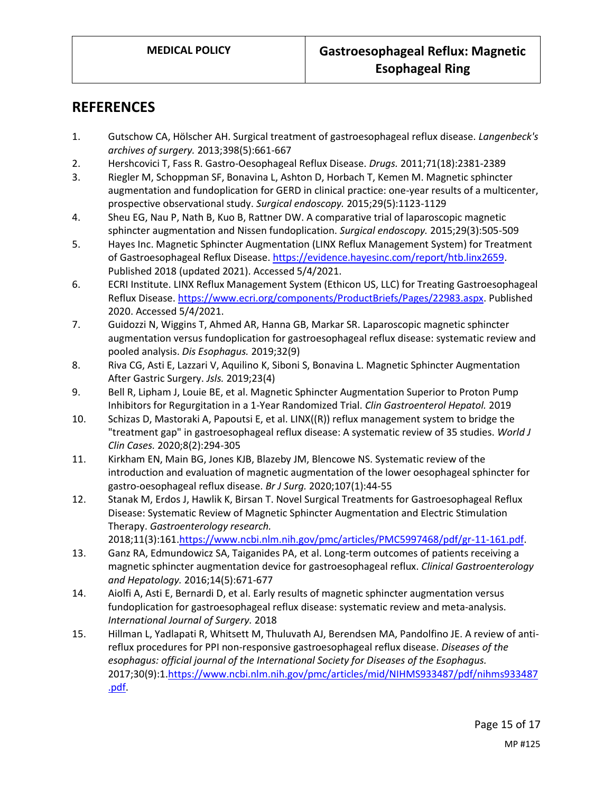## **REFERENCES**

- 1. Gutschow CA, Hölscher AH. Surgical treatment of gastroesophageal reflux disease. *Langenbeck's archives of surgery.* 2013;398(5):661-667
- 2. Hershcovici T, Fass R. Gastro-Oesophageal Reflux Disease. *Drugs.* 2011;71(18):2381-2389
- 3. Riegler M, Schoppman SF, Bonavina L, Ashton D, Horbach T, Kemen M. Magnetic sphincter augmentation and fundoplication for GERD in clinical practice: one-year results of a multicenter, prospective observational study. *Surgical endoscopy.* 2015;29(5):1123-1129
- 4. Sheu EG, Nau P, Nath B, Kuo B, Rattner DW. A comparative trial of laparoscopic magnetic sphincter augmentation and Nissen fundoplication. *Surgical endoscopy.* 2015;29(3):505-509
- 5. Hayes Inc. Magnetic Sphincter Augmentation (LINX Reflux Management System) for Treatment of Gastroesophageal Reflux Disease[. https://evidence.hayesinc.com/report/htb.linx2659.](https://evidence.hayesinc.com/report/htb.linx2659) Published 2018 (updated 2021). Accessed 5/4/2021.
- 6. ECRI Institute. LINX Reflux Management System (Ethicon US, LLC) for Treating Gastroesophageal Reflux Disease[. https://www.ecri.org/components/ProductBriefs/Pages/22983.aspx.](https://www.ecri.org/components/ProductBriefs/Pages/22983.aspx) Published 2020. Accessed 5/4/2021.
- 7. Guidozzi N, Wiggins T, Ahmed AR, Hanna GB, Markar SR. Laparoscopic magnetic sphincter augmentation versus fundoplication for gastroesophageal reflux disease: systematic review and pooled analysis. *Dis Esophagus.* 2019;32(9)
- 8. Riva CG, Asti E, Lazzari V, Aquilino K, Siboni S, Bonavina L. Magnetic Sphincter Augmentation After Gastric Surgery. *Jsls.* 2019;23(4)
- 9. Bell R, Lipham J, Louie BE, et al. Magnetic Sphincter Augmentation Superior to Proton Pump Inhibitors for Regurgitation in a 1-Year Randomized Trial. *Clin Gastroenterol Hepatol.* 2019
- 10. Schizas D, Mastoraki A, Papoutsi E, et al. LINX((R)) reflux management system to bridge the "treatment gap" in gastroesophageal reflux disease: A systematic review of 35 studies. *World J Clin Cases.* 2020;8(2):294-305
- 11. Kirkham EN, Main BG, Jones KJB, Blazeby JM, Blencowe NS. Systematic review of the introduction and evaluation of magnetic augmentation of the lower oesophageal sphincter for gastro-oesophageal reflux disease. *Br J Surg.* 2020;107(1):44-55
- 12. Stanak M, Erdos J, Hawlik K, Birsan T. Novel Surgical Treatments for Gastroesophageal Reflux Disease: Systematic Review of Magnetic Sphincter Augmentation and Electric Stimulation Therapy. *Gastroenterology research.*  2018;11(3):161[.https://www.ncbi.nlm.nih.gov/pmc/articles/PMC5997468/pdf/gr-11-161.pdf.](https://www.ncbi.nlm.nih.gov/pmc/articles/PMC5997468/pdf/gr-11-161.pdf)
- 13. Ganz RA, Edmundowicz SA, Taiganides PA, et al. Long-term outcomes of patients receiving a magnetic sphincter augmentation device for gastroesophageal reflux. *Clinical Gastroenterology and Hepatology.* 2016;14(5):671-677
- 14. Aiolfi A, Asti E, Bernardi D, et al. Early results of magnetic sphincter augmentation versus fundoplication for gastroesophageal reflux disease: systematic review and meta-analysis. *International Journal of Surgery.* 2018
- 15. Hillman L, Yadlapati R, Whitsett M, Thuluvath AJ, Berendsen MA, Pandolfino JE. A review of antireflux procedures for PPI non-responsive gastroesophageal reflux disease. *Diseases of the esophagus: official journal of the International Society for Diseases of the Esophagus.*  2017;30(9):1[.https://www.ncbi.nlm.nih.gov/pmc/articles/mid/NIHMS933487/pdf/nihms933487](https://www.ncbi.nlm.nih.gov/pmc/articles/mid/NIHMS933487/pdf/nihms933487.pdf) [.pdf.](https://www.ncbi.nlm.nih.gov/pmc/articles/mid/NIHMS933487/pdf/nihms933487.pdf)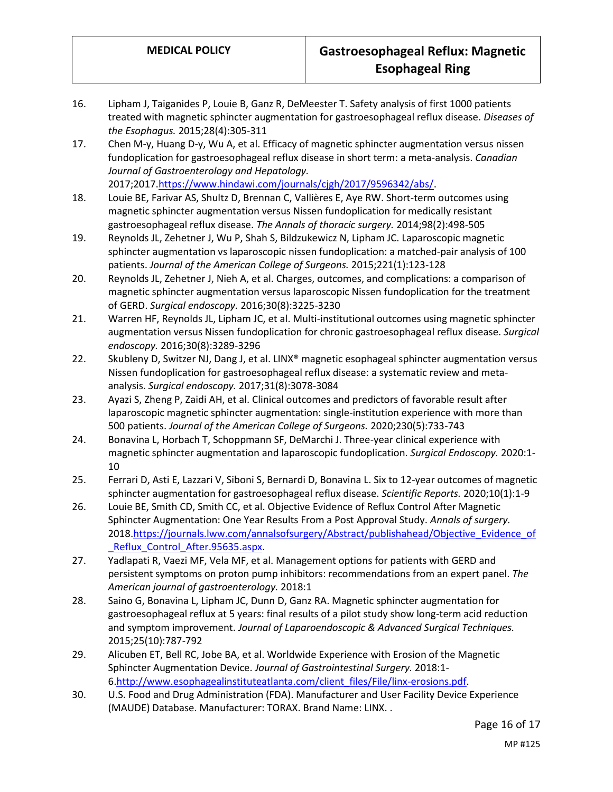- 16. Lipham J, Taiganides P, Louie B, Ganz R, DeMeester T. Safety analysis of first 1000 patients treated with magnetic sphincter augmentation for gastroesophageal reflux disease. *Diseases of the Esophagus.* 2015;28(4):305-311
- 17. Chen M-y, Huang D-y, Wu A, et al. Efficacy of magnetic sphincter augmentation versus nissen fundoplication for gastroesophageal reflux disease in short term: a meta-analysis. *Canadian Journal of Gastroenterology and Hepatology.*  2017;2017[.https://www.hindawi.com/journals/cjgh/2017/9596342/abs/.](https://www.hindawi.com/journals/cjgh/2017/9596342/abs/)

18. Louie BE, Farivar AS, Shultz D, Brennan C, Vallières E, Aye RW. Short-term outcomes using magnetic sphincter augmentation versus Nissen fundoplication for medically resistant gastroesophageal reflux disease. *The Annals of thoracic surgery.* 2014;98(2):498-505

- 19. Reynolds JL, Zehetner J, Wu P, Shah S, Bildzukewicz N, Lipham JC. Laparoscopic magnetic sphincter augmentation vs laparoscopic nissen fundoplication: a matched-pair analysis of 100 patients. *Journal of the American College of Surgeons.* 2015;221(1):123-128
- 20. Reynolds JL, Zehetner J, Nieh A, et al. Charges, outcomes, and complications: a comparison of magnetic sphincter augmentation versus laparoscopic Nissen fundoplication for the treatment of GERD. *Surgical endoscopy.* 2016;30(8):3225-3230
- 21. Warren HF, Reynolds JL, Lipham JC, et al. Multi-institutional outcomes using magnetic sphincter augmentation versus Nissen fundoplication for chronic gastroesophageal reflux disease. *Surgical endoscopy.* 2016;30(8):3289-3296
- 22. Skubleny D, Switzer NJ, Dang J, et al. LINX<sup>®</sup> magnetic esophageal sphincter augmentation versus Nissen fundoplication for gastroesophageal reflux disease: a systematic review and metaanalysis. *Surgical endoscopy.* 2017;31(8):3078-3084
- 23. Ayazi S, Zheng P, Zaidi AH, et al. Clinical outcomes and predictors of favorable result after laparoscopic magnetic sphincter augmentation: single-institution experience with more than 500 patients. *Journal of the American College of Surgeons.* 2020;230(5):733-743
- 24. Bonavina L, Horbach T, Schoppmann SF, DeMarchi J. Three-year clinical experience with magnetic sphincter augmentation and laparoscopic fundoplication. *Surgical Endoscopy.* 2020:1- 10
- 25. Ferrari D, Asti E, Lazzari V, Siboni S, Bernardi D, Bonavina L. Six to 12-year outcomes of magnetic sphincter augmentation for gastroesophageal reflux disease. *Scientific Reports.* 2020;10(1):1-9
- 26. Louie BE, Smith CD, Smith CC, et al. Objective Evidence of Reflux Control After Magnetic Sphincter Augmentation: One Year Results From a Post Approval Study. *Annals of surgery.*  2018[.https://journals.lww.com/annalsofsurgery/Abstract/publishahead/Objective\\_Evidence\\_of](https://journals.lww.com/annalsofsurgery/Abstract/publishahead/Objective_Evidence_of_Reflux_Control_After.95635.aspx) [\\_Reflux\\_Control\\_After.95635.aspx.](https://journals.lww.com/annalsofsurgery/Abstract/publishahead/Objective_Evidence_of_Reflux_Control_After.95635.aspx)
- 27. Yadlapati R, Vaezi MF, Vela MF, et al. Management options for patients with GERD and persistent symptoms on proton pump inhibitors: recommendations from an expert panel. *The American journal of gastroenterology.* 2018:1
- 28. Saino G, Bonavina L, Lipham JC, Dunn D, Ganz RA. Magnetic sphincter augmentation for gastroesophageal reflux at 5 years: final results of a pilot study show long-term acid reduction and symptom improvement. *Journal of Laparoendoscopic & Advanced Surgical Techniques.*  2015;25(10):787-792
- 29. Alicuben ET, Bell RC, Jobe BA, et al. Worldwide Experience with Erosion of the Magnetic Sphincter Augmentation Device. *Journal of Gastrointestinal Surgery.* 2018:1- 6[.http://www.esophagealinstituteatlanta.com/client\\_files/File/linx-erosions.pdf.](http://www.esophagealinstituteatlanta.com/client_files/File/linx-erosions.pdf)
- 30. U.S. Food and Drug Administration (FDA). Manufacturer and User Facility Device Experience (MAUDE) Database. Manufacturer: TORAX. Brand Name: LINX. .